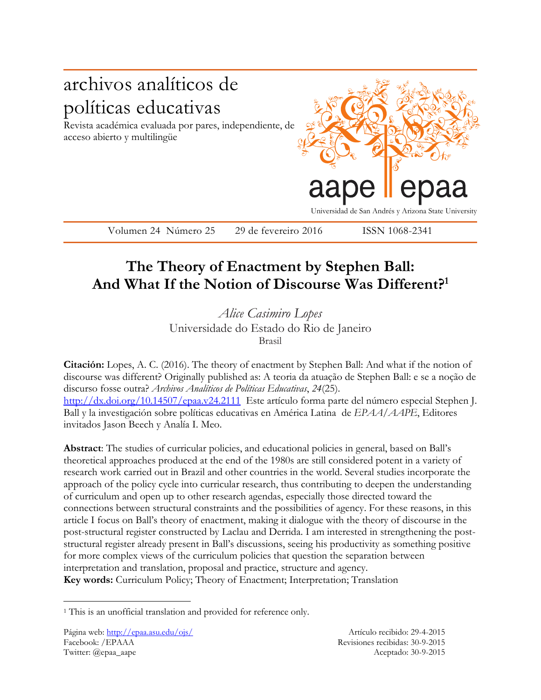

## **The Theory of Enactment by Stephen Ball: And What If the Notion of Discourse Was Different? 1**

*Alice Casimiro Lopes* Universidade do Estado do Rio de Janeiro Brasil

**Citación:** Lopes, A. C. (2016). The theory of enactment by Stephen Ball: And what if the notion of discourse was different? Originally published as: A teoria da atuação de Stephen Ball: e se a noção de discurso fosse outra? *Archivos Analíticos de Políticas Educativas*, *24*(25). <http://dx.doi.org/10.14507/epaa.v24.2111>Este artículo forma parte del número especial Stephen J. Ball y la investigación sobre políticas educativas en América Latina de *EPAA/AAPE*, Editores invitados Jason Beech y Analía I. Meo.

**Abstract**: The studies of curricular policies, and educational policies in general, based on Ball's theoretical approaches produced at the end of the 1980s are still considered potent in a variety of research work carried out in Brazil and other countries in the world. Several studies incorporate the approach of the policy cycle into curricular research, thus contributing to deepen the understanding of curriculum and open up to other research agendas, especially those directed toward the connections between structural constraints and the possibilities of agency. For these reasons, in this article I focus on Ball's theory of enactment, making it dialogue with the theory of discourse in the post-structural register constructed by Laclau and Derrida. I am interested in strengthening the poststructural register already present in Ball's discussions, seeing his productivity as something positive for more complex views of the curriculum policies that question the separation between interpretation and translation, proposal and practice, structure and agency. **Key words:** Curriculum Policy; Theory of Enactment; Interpretation; Translation

 $\overline{a}$ 

<sup>&</sup>lt;sup>1</sup> This is an unofficial translation and provided for reference only.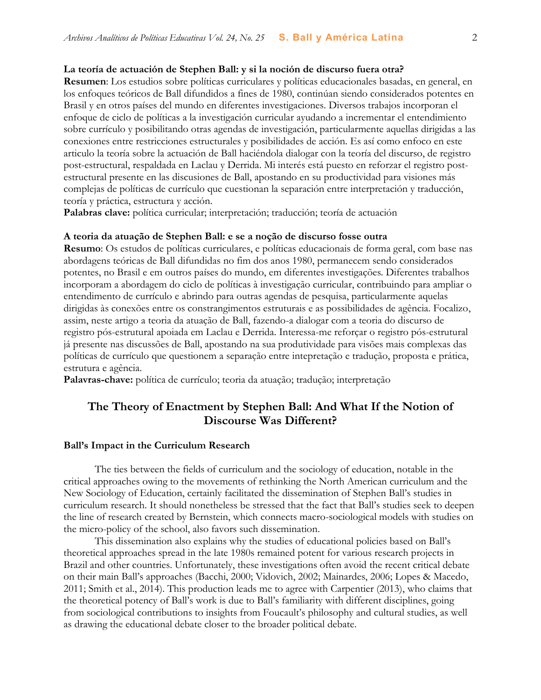#### **La teoría de actuación de Stephen Ball: y si la noción de discurso fuera otra?**

**Resumen**: Los estudios sobre políticas curriculares y políticas educacionales basadas, en general, en los enfoques teóricos de Ball difundidos a fines de 1980, continúan siendo considerados potentes en Brasil y en otros países del mundo en diferentes investigaciones. Diversos trabajos incorporan el enfoque de ciclo de políticas a la investigación curricular ayudando a incrementar el entendimiento sobre currículo y posibilitando otras agendas de investigación, particularmente aquellas dirigidas a las conexiones entre restricciones estructurales y posibilidades de acción. Es así como enfoco en este articulo la teoría sobre la actuación de Ball haciéndola dialogar con la teoría del discurso, de registro post-estructural, respaldada en Laclau y Derrida. Mi interés está puesto en reforzar el registro postestructural presente en las discusiones de Ball, apostando en su productividad para visiones más complejas de políticas de currículo que cuestionan la separación entre interpretación y traducción, teoría y práctica, estructura y acción.

**Palabras clave:** política curricular; interpretación; traducción; teoría de actuación

#### **A teoria da atuação de Stephen Ball: e se a noção de discurso fosse outra**

**Resumo**: Os estudos de políticas curriculares, e políticas educacionais de forma geral, com base nas abordagens teóricas de Ball difundidas no fim dos anos 1980, permanecem sendo considerados potentes, no Brasil e em outros países do mundo, em diferentes investigações. Diferentes trabalhos incorporam a abordagem do ciclo de políticas à investigação curricular, contribuindo para ampliar o entendimento de currículo e abrindo para outras agendas de pesquisa, particularmente aquelas dirigidas às conexões entre os constrangimentos estruturais e as possibilidades de agência. Focalizo, assim, neste artigo a teoria da atuação de Ball, fazendo-a dialogar com a teoria do discurso de registro pós-estrutural apoiada em Laclau e Derrida. Interessa-me reforçar o registro pós-estrutural já presente nas discussões de Ball, apostando na sua produtividade para visões mais complexas das políticas de currículo que questionem a separação entre intepretação e tradução, proposta e prática, estrutura e agência.

**Palavras-chave:** política de currículo; teoria da atuação; tradução; interpretação

## **The Theory of Enactment by Stephen Ball: And What If the Notion of Discourse Was Different?**

#### **Ball's Impact in the Curriculum Research**

The ties between the fields of curriculum and the sociology of education, notable in the critical approaches owing to the movements of rethinking the North American curriculum and the New Sociology of Education, certainly facilitated the dissemination of Stephen Ball's studies in curriculum research. It should nonetheless be stressed that the fact that Ball's studies seek to deepen the line of research created by Bernstein, which connects macro-sociological models with studies on the micro-policy of the school, also favors such dissemination.

This dissemination also explains why the studies of educational policies based on Ball's theoretical approaches spread in the late 1980s remained potent for various research projects in Brazil and other countries. Unfortunately, these investigations often avoid the recent critical debate on their main Ball's approaches (Bacchi, 2000; Vidovich, 2002; Mainardes, 2006; Lopes & Macedo, 2011; Smith et al., 2014). This production leads me to agree with Carpentier (2013), who claims that the theoretical potency of Ball's work is due to Ball's familiarity with different disciplines, going from sociological contributions to insights from Foucault's philosophy and cultural studies, as well as drawing the educational debate closer to the broader political debate.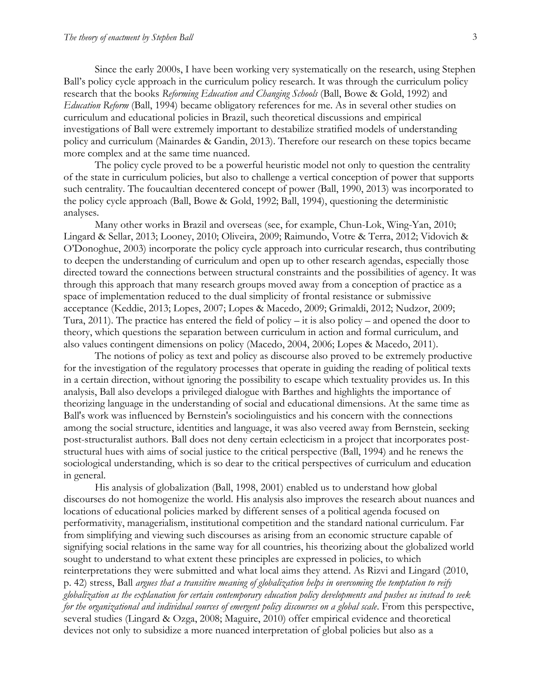Since the early 2000s, I have been working very systematically on the research, using Stephen Ball's policy cycle approach in the curriculum policy research. It was through the curriculum policy research that the books *Reforming Education and Changing Schools* (Ball, Bowe & Gold, 1992) and *Education Reform* (Ball, 1994) became obligatory references for me. As in several other studies on curriculum and educational policies in Brazil, such theoretical discussions and empirical investigations of Ball were extremely important to destabilize stratified models of understanding policy and curriculum (Mainardes & Gandin, 2013). Therefore our research on these topics became more complex and at the same time nuanced.

The policy cycle proved to be a powerful heuristic model not only to question the centrality of the state in curriculum policies, but also to challenge a vertical conception of power that supports such centrality. The foucaultian decentered concept of power (Ball, 1990, 2013) was incorporated to the policy cycle approach (Ball, Bowe & Gold, 1992; Ball, 1994), questioning the deterministic analyses.

Many other works in Brazil and overseas (see, for example, Chun-Lok, Wing-Yan, 2010; Lingard & Sellar, 2013; Looney, 2010; Oliveira, 2009; Raimundo, Votre & Terra, 2012; Vidovich & O'Donoghue, 2003) incorporate the policy cycle approach into curricular research, thus contributing to deepen the understanding of curriculum and open up to other research agendas, especially those directed toward the connections between structural constraints and the possibilities of agency. It was through this approach that many research groups moved away from a conception of practice as a space of implementation reduced to the dual simplicity of frontal resistance or submissive acceptance (Keddie, 2013; Lopes, 2007; Lopes & Macedo, 2009; Grimaldi, 2012; Nudzor, 2009; Tura, 2011). The practice has entered the field of policy – it is also policy – and opened the door to theory, which questions the separation between curriculum in action and formal curriculum, and also values contingent dimensions on policy (Macedo, 2004, 2006; Lopes & Macedo, 2011).

The notions of policy as text and policy as discourse also proved to be extremely productive for the investigation of the regulatory processes that operate in guiding the reading of political texts in a certain direction, without ignoring the possibility to escape which textuality provides us. In this analysis, Ball also develops a privileged dialogue with Barthes and highlights the importance of theorizing language in the understanding of social and educational dimensions. At the same time as Ball's work was influenced by Bernstein's sociolinguistics and his concern with the connections among the social structure, identities and language, it was also veered away from Bernstein, seeking post-structuralist authors. Ball does not deny certain eclecticism in a project that incorporates poststructural hues with aims of social justice to the critical perspective (Ball, 1994) and he renews the sociological understanding, which is so dear to the critical perspectives of curriculum and education in general.

His analysis of globalization (Ball, 1998, 2001) enabled us to understand how global discourses do not homogenize the world. His analysis also improves the research about nuances and locations of educational policies marked by different senses of a political agenda focused on performativity, managerialism, institutional competition and the standard national curriculum. Far from simplifying and viewing such discourses as arising from an economic structure capable of signifying social relations in the same way for all countries, his theorizing about the globalized world sought to understand to what extent these principles are expressed in policies, to which reinterpretations they were submitted and what local aims they attend. As Rizvi and Lingard (2010, p. 42) stress, Ball *argues that a transitive meaning of globalization helps in overcoming the temptation to reify globalization as the explanation for certain contemporary education policy developments and pushes us instead to seek for the organizational and individual sources of emergent policy discourses on a global scale*. From this perspective, several studies (Lingard & Ozga, 2008; Maguire, 2010) offer empirical evidence and theoretical devices not only to subsidize a more nuanced interpretation of global policies but also as a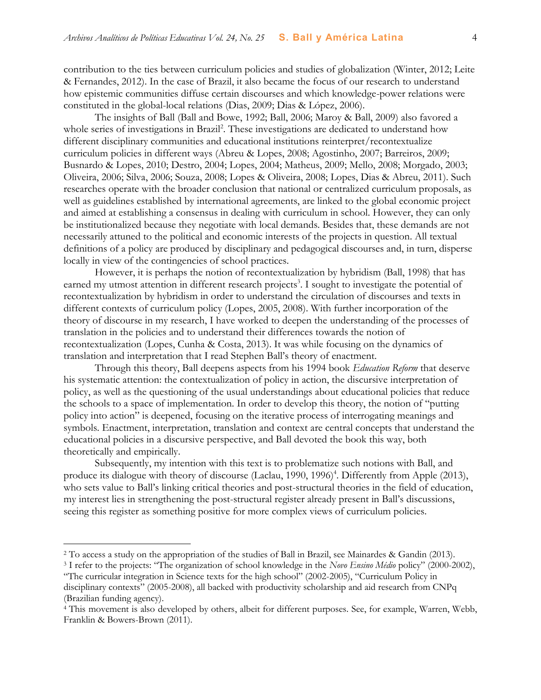contribution to the ties between curriculum policies and studies of globalization (Winter, 2012; Leite & Fernandes, 2012). In the case of Brazil, it also became the focus of our research to understand how epistemic communities diffuse certain discourses and which knowledge-power relations were constituted in the global-local relations (Dias, 2009; Dias & López, 2006).

The insights of Ball (Ball and Bowe, 1992; Ball, 2006; Maroy & Ball, 2009) also favored a whole series of investigations in Brazil<sup>2</sup>. These investigations are dedicated to understand how different disciplinary communities and educational institutions reinterpret/recontextualize curriculum policies in different ways (Abreu & Lopes, 2008; Agostinho, 2007; Barreiros, 2009; Busnardo & Lopes, 2010; Destro, 2004; Lopes, 2004; Matheus, 2009; Mello, 2008; Morgado, 2003; Oliveira, 2006; Silva, 2006; Souza, 2008; Lopes & Oliveira, 2008; Lopes, Dias & Abreu, 2011). Such researches operate with the broader conclusion that national or centralized curriculum proposals, as well as guidelines established by international agreements, are linked to the global economic project and aimed at establishing a consensus in dealing with curriculum in school. However, they can only be institutionalized because they negotiate with local demands. Besides that, these demands are not necessarily attuned to the political and economic interests of the projects in question. All textual definitions of a policy are produced by disciplinary and pedagogical discourses and, in turn, disperse locally in view of the contingencies of school practices.

However, it is perhaps the notion of recontextualization by hybridism (Ball, 1998) that has earned my utmost attention in different research projects<sup>3</sup>. I sought to investigate the potential of recontextualization by hybridism in order to understand the circulation of discourses and texts in different contexts of curriculum policy (Lopes, 2005, 2008). With further incorporation of the theory of discourse in my research, I have worked to deepen the understanding of the processes of translation in the policies and to understand their differences towards the notion of recontextualization (Lopes, Cunha & Costa, 2013). It was while focusing on the dynamics of translation and interpretation that I read Stephen Ball's theory of enactment*.*

Through this theory, Ball deepens aspects from his 1994 book *Education Reform* that deserve his systematic attention: the contextualization of policy in action, the discursive interpretation of policy, as well as the questioning of the usual understandings about educational policies that reduce the schools to a space of implementation. In order to develop this theory, the notion of "putting policy into action" is deepened, focusing on the iterative process of interrogating meanings and symbols. Enactment, interpretation, translation and context are central concepts that understand the educational policies in a discursive perspective, and Ball devoted the book this way, both theoretically and empirically.

Subsequently, my intention with this text is to problematize such notions with Ball, and produce its dialogue with theory of discourse (Laclau, 1990, 1996)<sup>4</sup>. Differently from Apple (2013), who sets value to Ball's linking critical theories and post-structural theories in the field of education, my interest lies in strengthening the post-structural register already present in Ball's discussions, seeing this register as something positive for more complex views of curriculum policies.

 $\overline{a}$ 

<sup>2</sup> To access a study on the appropriation of the studies of Ball in Brazil, see Mainardes & Gandin (2013).

<sup>3</sup> I refer to the projects: "The organization of school knowledge in the *Novo Ensino Médio* policy" (2000-2002), "The curricular integration in Science texts for the high school" (2002-2005), "Curriculum Policy in disciplinary contexts" (2005-2008), all backed with productivity scholarship and aid research from CNPq (Brazilian funding agency).

<sup>4</sup> This movement is also developed by others, albeit for different purposes. See, for example, Warren, Webb, Franklin & Bowers-Brown (2011).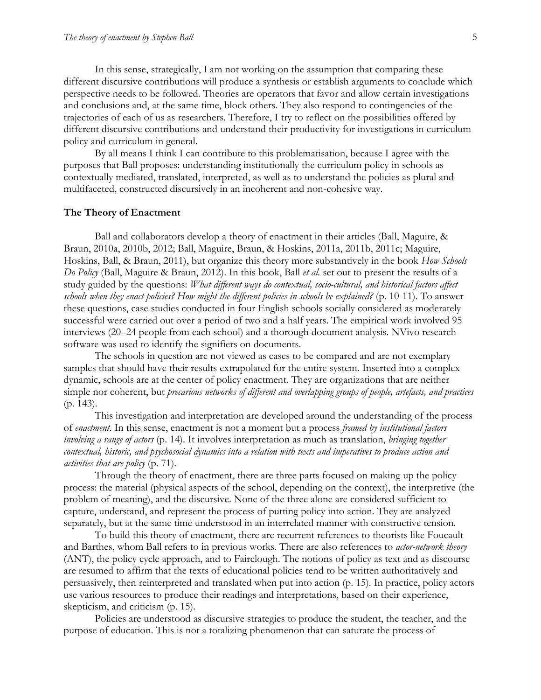In this sense, strategically, I am not working on the assumption that comparing these different discursive contributions will produce a synthesis or establish arguments to conclude which perspective needs to be followed. Theories are operators that favor and allow certain investigations and conclusions and, at the same time, block others. They also respond to contingencies of the trajectories of each of us as researchers. Therefore, I try to reflect on the possibilities offered by different discursive contributions and understand their productivity for investigations in curriculum policy and curriculum in general.

By all means I think I can contribute to this problematisation, because I agree with the purposes that Ball proposes: understanding institutionally the curriculum policy in schools as contextually mediated, translated, interpreted, as well as to understand the policies as plural and multifaceted, constructed discursively in an incoherent and non-cohesive way.

#### **The Theory of Enactment**

Ball and collaborators develop a theory of enactment in their articles (Ball, Maguire, & Braun, 2010a, 2010b, 2012; Ball, Maguire, Braun, & Hoskins, 2011a, 2011b, 2011c; Maguire, Hoskins, Ball, & Braun, 2011), but organize this theory more substantively in the book *How Schools Do Policy* (Ball, Maguire & Braun, 2012). In this book, Ball *et al.* set out to present the results of a study guided by the questions: *What different ways do contextual, socio-cultural, and historical factors affect schools when they enact policies? How might the different policies in schools be explained?* (p. 10-11). To answer these questions, case studies conducted in four English schools socially considered as moderately successful were carried out over a period of two and a half years. The empirical work involved 95 interviews (20–24 people from each school) and a thorough document analysis. NVivo research software was used to identify the signifiers on documents.

The schools in question are not viewed as cases to be compared and are not exemplary samples that should have their results extrapolated for the entire system. Inserted into a complex dynamic, schools are at the center of policy enactment. They are organizations that are neither simple nor coherent, but *precarious networks of different and overlapping groups of people, artefacts, and practices* (p. 143).

This investigation and interpretation are developed around the understanding of the process of *enactment.* In this sense, enactment is not a moment but a process *framed by institutional factors involving a range of actors* (p. 14). It involves interpretation as much as translation, *bringing together contextual, historic, and psychosocial dynamics into a relation with texts and imperatives to produce action and activities that are policy* (p. 71).

Through the theory of enactment, there are three parts focused on making up the policy process: the material (physical aspects of the school, depending on the context), the interpretive (the problem of meaning), and the discursive. None of the three alone are considered sufficient to capture, understand, and represent the process of putting policy into action. They are analyzed separately, but at the same time understood in an interrelated manner with constructive tension.

To build this theory of enactment, there are recurrent references to theorists like Foucault and Barthes, whom Ball refers to in previous works. There are also references to *actor-network theory* (ANT), the policy cycle approach, and to Fairclough. The notions of policy as text and as discourse are resumed to affirm that the texts of educational policies tend to be written authoritatively and persuasively, then reinterpreted and translated when put into action (p. 15). In practice, policy actors use various resources to produce their readings and interpretations, based on their experience, skepticism, and criticism (p. 15).

Policies are understood as discursive strategies to produce the student, the teacher, and the purpose of education. This is not a totalizing phenomenon that can saturate the process of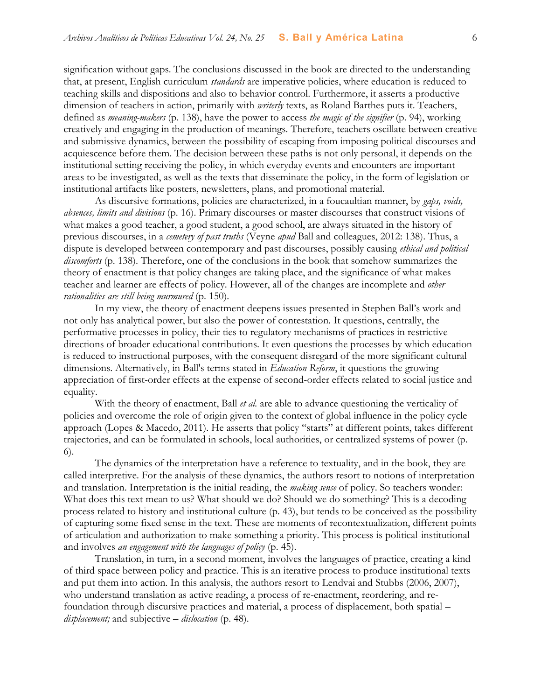signification without gaps. The conclusions discussed in the book are directed to the understanding that, at present, English curriculum *standards* are imperative policies, where education is reduced to teaching skills and dispositions and also to behavior control. Furthermore, it asserts a productive dimension of teachers in action, primarily with *writerly* texts, as Roland Barthes puts it. Teachers, defined as *meaning-makers* (p. 138), have the power to access *the magic of the signifier* (p. 94), working creatively and engaging in the production of meanings. Therefore, teachers oscillate between creative and submissive dynamics, between the possibility of escaping from imposing political discourses and acquiescence before them. The decision between these paths is not only personal, it depends on the institutional setting receiving the policy, in which everyday events and encounters are important areas to be investigated, as well as the texts that disseminate the policy, in the form of legislation or institutional artifacts like posters, newsletters, plans, and promotional material.

As discursive formations, policies are characterized, in a foucaultian manner, by *gaps, voids, absences, limits and divisions* (p. 16). Primary discourses or master discourses that construct visions of what makes a good teacher, a good student, a good school, are always situated in the history of previous discourses, in a *cemetery of past truths* (Veyne *apud* Ball and colleagues, 2012: 138). Thus, a dispute is developed between contemporary and past discourses, possibly causing *ethical and political discomforts* (p. 138). Therefore, one of the conclusions in the book that somehow summarizes the theory of enactment is that policy changes are taking place, and the significance of what makes teacher and learner are effects of policy. However, all of the changes are incomplete and *other rationalities are still being murmured* (p. 150).

In my view, the theory of enactment deepens issues presented in Stephen Ball's work and not only has analytical power, but also the power of contestation. It questions, centrally, the performative processes in policy, their ties to regulatory mechanisms of practices in restrictive directions of broader educational contributions. It even questions the processes by which education is reduced to instructional purposes, with the consequent disregard of the more significant cultural dimensions. Alternatively, in Ball's terms stated in *Education Reform*, it questions the growing appreciation of first-order effects at the expense of second-order effects related to social justice and equality.

With the theory of enactment, Ball *et al.* are able to advance questioning the verticality of policies and overcome the role of origin given to the context of global influence in the policy cycle approach (Lopes & Macedo, 2011). He asserts that policy "starts" at different points, takes different trajectories, and can be formulated in schools, local authorities, or centralized systems of power (p. 6).

The dynamics of the interpretation have a reference to textuality, and in the book, they are called interpretive. For the analysis of these dynamics, the authors resort to notions of interpretation and translation. Interpretation is the initial reading, the *making sense* of policy. So teachers wonder: What does this text mean to us? What should we do? Should we do something? This is a decoding process related to history and institutional culture (p. 43), but tends to be conceived as the possibility of capturing some fixed sense in the text. These are moments of recontextualization, different points of articulation and authorization to make something a priority. This process is political-institutional and involves *an engagement with the languages of policy* (p. 45).

Translation, in turn, in a second moment, involves the languages of practice, creating a kind of third space between policy and practice. This is an iterative process to produce institutional texts and put them into action. In this analysis, the authors resort to Lendvai and Stubbs (2006, 2007), who understand translation as active reading, a process of re-enactment, reordering, and refoundation through discursive practices and material, a process of displacement, both spatial – *displacement;* and subjective – *dislocation* (p. 48).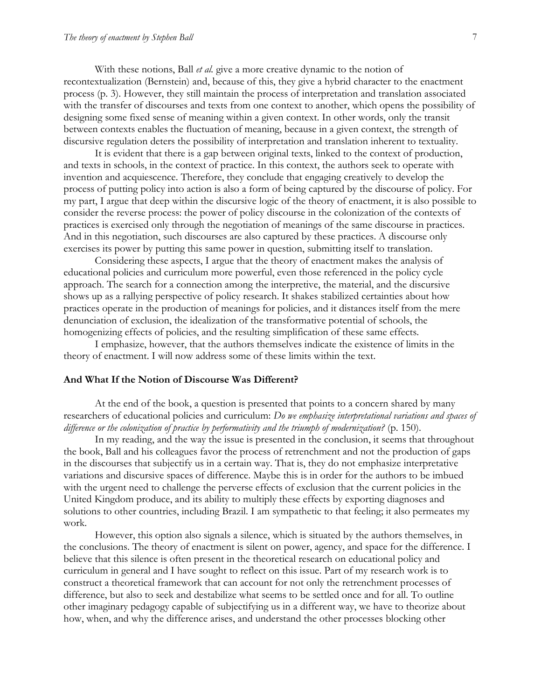With these notions, Ball *et al.* give a more creative dynamic to the notion of recontextualization (Bernstein) and, because of this, they give a hybrid character to the enactment process (p. 3). However, they still maintain the process of interpretation and translation associated with the transfer of discourses and texts from one context to another, which opens the possibility of designing some fixed sense of meaning within a given context. In other words, only the transit between contexts enables the fluctuation of meaning, because in a given context, the strength of discursive regulation deters the possibility of interpretation and translation inherent to textuality.

It is evident that there is a gap between original texts, linked to the context of production, and texts in schools, in the context of practice. In this context, the authors seek to operate with invention and acquiescence. Therefore, they conclude that engaging creatively to develop the process of putting policy into action is also a form of being captured by the discourse of policy. For my part, I argue that deep within the discursive logic of the theory of enactment, it is also possible to consider the reverse process: the power of policy discourse in the colonization of the contexts of practices is exercised only through the negotiation of meanings of the same discourse in practices. And in this negotiation, such discourses are also captured by these practices. A discourse only exercises its power by putting this same power in question, submitting itself to translation.

Considering these aspects, I argue that the theory of enactment makes the analysis of educational policies and curriculum more powerful, even those referenced in the policy cycle approach. The search for a connection among the interpretive, the material, and the discursive shows up as a rallying perspective of policy research. It shakes stabilized certainties about how practices operate in the production of meanings for policies, and it distances itself from the mere denunciation of exclusion, the idealization of the transformative potential of schools, the homogenizing effects of policies, and the resulting simplification of these same effects.

I emphasize, however, that the authors themselves indicate the existence of limits in the theory of enactment. I will now address some of these limits within the text.

#### **And What If the Notion of Discourse Was Different?**

At the end of the book, a question is presented that points to a concern shared by many researchers of educational policies and curriculum: *Do we emphasize interpretational variations and spaces of*  difference or the colonization of practice by performativity and the triumph of modernization? (p. 150).

In my reading, and the way the issue is presented in the conclusion, it seems that throughout the book, Ball and his colleagues favor the process of retrenchment and not the production of gaps in the discourses that subjectify us in a certain way. That is, they do not emphasize interpretative variations and discursive spaces of difference. Maybe this is in order for the authors to be imbued with the urgent need to challenge the perverse effects of exclusion that the current policies in the United Kingdom produce, and its ability to multiply these effects by exporting diagnoses and solutions to other countries, including Brazil. I am sympathetic to that feeling; it also permeates my work.

However, this option also signals a silence, which is situated by the authors themselves, in the conclusions. The theory of enactment is silent on power, agency, and space for the difference. I believe that this silence is often present in the theoretical research on educational policy and curriculum in general and I have sought to reflect on this issue. Part of my research work is to construct a theoretical framework that can account for not only the retrenchment processes of difference, but also to seek and destabilize what seems to be settled once and for all. To outline other imaginary pedagogy capable of subjectifying us in a different way, we have to theorize about how, when, and why the difference arises, and understand the other processes blocking other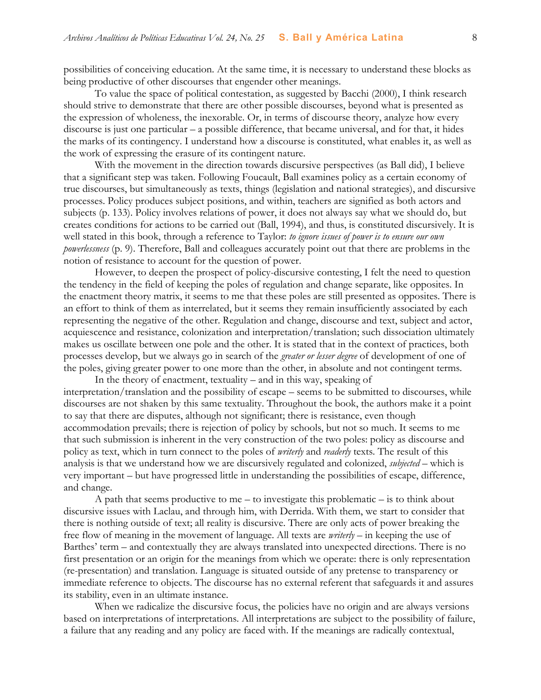possibilities of conceiving education. At the same time, it is necessary to understand these blocks as being productive of other discourses that engender other meanings.

To value the space of political contestation, as suggested by Bacchi (2000), I think research should strive to demonstrate that there are other possible discourses, beyond what is presented as the expression of wholeness, the inexorable. Or, in terms of discourse theory, analyze how every discourse is just one particular – a possible difference, that became universal, and for that, it hides the marks of its contingency. I understand how a discourse is constituted, what enables it, as well as the work of expressing the erasure of its contingent nature.

With the movement in the direction towards discursive perspectives (as Ball did), I believe that a significant step was taken. Following Foucault, Ball examines policy as a certain economy of true discourses, but simultaneously as texts, things (legislation and national strategies), and discursive processes. Policy produces subject positions, and within, teachers are signified as both actors and subjects (p. 133). Policy involves relations of power, it does not always say what we should do, but creates conditions for actions to be carried out (Ball, 1994), and thus, is constituted discursively. It is well stated in this book, through a reference to Taylor: *to ignore issues of power is to ensure our own powerlessness* (p. 9). Therefore, Ball and colleagues accurately point out that there are problems in the notion of resistance to account for the question of power.

However, to deepen the prospect of policy-discursive contesting, I felt the need to question the tendency in the field of keeping the poles of regulation and change separate, like opposites. In the enactment theory matrix, it seems to me that these poles are still presented as opposites. There is an effort to think of them as interrelated, but it seems they remain insufficiently associated by each representing the negative of the other. Regulation and change, discourse and text, subject and actor, acquiescence and resistance, colonization and interpretation/translation; such dissociation ultimately makes us oscillate between one pole and the other. It is stated that in the context of practices, both processes develop, but we always go in search of the *greater or lesser degree* of development of one of the poles, giving greater power to one more than the other, in absolute and not contingent terms.

In the theory of enactment, textuality – and in this way, speaking of interpretation/translation and the possibility of escape – seems to be submitted to discourses, while discourses are not shaken by this same textuality. Throughout the book, the authors make it a point to say that there are disputes, although not significant; there is resistance, even though accommodation prevails; there is rejection of policy by schools, but not so much. It seems to me that such submission is inherent in the very construction of the two poles: policy as discourse and policy as text, which in turn connect to the poles of *writerly* and *readerly* texts. The result of this analysis is that we understand how we are discursively regulated and colonized, *subjected* – which is very important – but have progressed little in understanding the possibilities of escape, difference, and change.

A path that seems productive to me – to investigate this problematic – is to think about discursive issues with Laclau, and through him, with Derrida. With them, we start to consider that there is nothing outside of text; all reality is discursive. There are only acts of power breaking the free flow of meaning in the movement of language. All texts are *writerly* – in keeping the use of Barthes' term – and contextually they are always translated into unexpected directions. There is no first presentation or an origin for the meanings from which we operate: there is only representation (re-presentation) and translation. Language is situated outside of any pretense to transparency or immediate reference to objects. The discourse has no external referent that safeguards it and assures its stability, even in an ultimate instance.

When we radicalize the discursive focus, the policies have no origin and are always versions based on interpretations of interpretations. All interpretations are subject to the possibility of failure, a failure that any reading and any policy are faced with. If the meanings are radically contextual,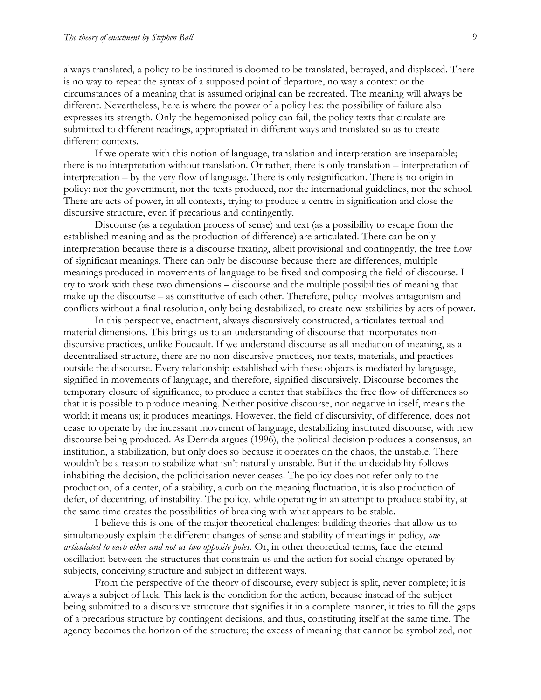always translated, a policy to be instituted is doomed to be translated, betrayed, and displaced. There is no way to repeat the syntax of a supposed point of departure, no way a context or the circumstances of a meaning that is assumed original can be recreated. The meaning will always be different. Nevertheless, here is where the power of a policy lies: the possibility of failure also expresses its strength. Only the hegemonized policy can fail, the policy texts that circulate are submitted to different readings, appropriated in different ways and translated so as to create different contexts.

If we operate with this notion of language, translation and interpretation are inseparable; there is no interpretation without translation. Or rather, there is only translation – interpretation of interpretation – by the very flow of language. There is only resignification. There is no origin in policy: nor the government, nor the texts produced, nor the international guidelines, nor the school. There are acts of power, in all contexts, trying to produce a centre in signification and close the discursive structure, even if precarious and contingently.

Discourse (as a regulation process of sense) and text (as a possibility to escape from the established meaning and as the production of difference) are articulated. There can be only interpretation because there is a discourse fixating, albeit provisional and contingently, the free flow of significant meanings. There can only be discourse because there are differences, multiple meanings produced in movements of language to be fixed and composing the field of discourse. I try to work with these two dimensions – discourse and the multiple possibilities of meaning that make up the discourse – as constitutive of each other. Therefore, policy involves antagonism and conflicts without a final resolution, only being destabilized, to create new stabilities by acts of power.

In this perspective, enactment, always discursively constructed, articulates textual and material dimensions. This brings us to an understanding of discourse that incorporates nondiscursive practices, unlike Foucault. If we understand discourse as all mediation of meaning, as a decentralized structure, there are no non-discursive practices, nor texts, materials, and practices outside the discourse. Every relationship established with these objects is mediated by language, signified in movements of language, and therefore, signified discursively. Discourse becomes the temporary closure of significance, to produce a center that stabilizes the free flow of differences so that it is possible to produce meaning. Neither positive discourse, nor negative in itself, means the world; it means us; it produces meanings. However, the field of discursivity, of difference, does not cease to operate by the incessant movement of language, destabilizing instituted discourse, with new discourse being produced. As Derrida argues (1996), the political decision produces a consensus, an institution, a stabilization, but only does so because it operates on the chaos, the unstable. There wouldn't be a reason to stabilize what isn't naturally unstable. But if the undecidability follows inhabiting the decision, the politicisation never ceases. The policy does not refer only to the production, of a center, of a stability, a curb on the meaning fluctuation, it is also production of defer, of decentring, of instability. The policy, while operating in an attempt to produce stability, at the same time creates the possibilities of breaking with what appears to be stable.

I believe this is one of the major theoretical challenges: building theories that allow us to simultaneously explain the different changes of sense and stability of meanings in policy, *one articulated to each other and not as two opposite poles.* Or, in other theoretical terms, face the eternal oscillation between the structures that constrain us and the action for social change operated by subjects, conceiving structure and subject in different ways.

From the perspective of the theory of discourse, every subject is split, never complete; it is always a subject of lack. This lack is the condition for the action, because instead of the subject being submitted to a discursive structure that signifies it in a complete manner, it tries to fill the gaps of a precarious structure by contingent decisions, and thus, constituting itself at the same time. The agency becomes the horizon of the structure; the excess of meaning that cannot be symbolized, not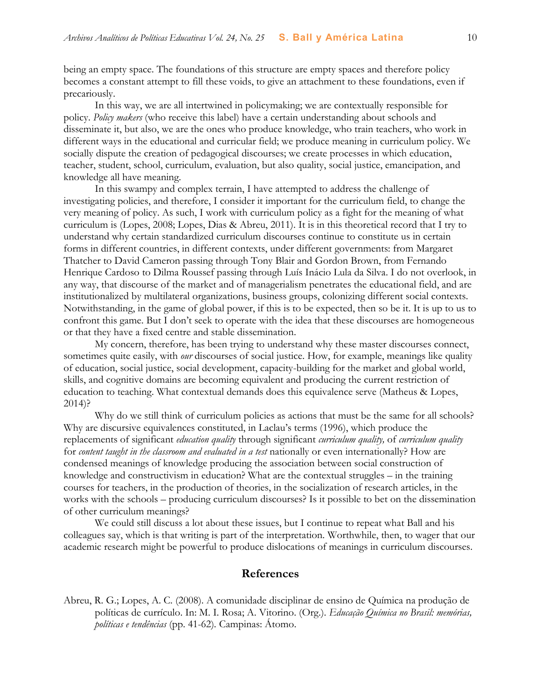being an empty space. The foundations of this structure are empty spaces and therefore policy becomes a constant attempt to fill these voids, to give an attachment to these foundations, even if precariously.

In this way, we are all intertwined in policymaking; we are contextually responsible for policy. *Policy makers* (who receive this label) have a certain understanding about schools and disseminate it, but also, we are the ones who produce knowledge, who train teachers, who work in different ways in the educational and curricular field; we produce meaning in curriculum policy. We socially dispute the creation of pedagogical discourses; we create processes in which education, teacher, student, school, curriculum, evaluation, but also quality, social justice, emancipation, and knowledge all have meaning.

In this swampy and complex terrain, I have attempted to address the challenge of investigating policies, and therefore, I consider it important for the curriculum field, to change the very meaning of policy. As such, I work with curriculum policy as a fight for the meaning of what curriculum is (Lopes, 2008; Lopes, Dias & Abreu, 2011). It is in this theoretical record that I try to understand why certain standardized curriculum discourses continue to constitute us in certain forms in different countries, in different contexts, under different governments: from Margaret Thatcher to David Cameron passing through Tony Blair and Gordon Brown, from Fernando Henrique Cardoso to Dilma Roussef passing through Luís Inácio Lula da Silva. I do not overlook, in any way, that discourse of the market and of managerialism penetrates the educational field, and are institutionalized by multilateral organizations, business groups, colonizing different social contexts. Notwithstanding, in the game of global power, if this is to be expected, then so be it. It is up to us to confront this game. But I don't seek to operate with the idea that these discourses are homogeneous or that they have a fixed centre and stable dissemination.

My concern, therefore, has been trying to understand why these master discourses connect, sometimes quite easily, with *our* discourses of social justice. How, for example, meanings like quality of education, social justice, social development, capacity-building for the market and global world, skills, and cognitive domains are becoming equivalent and producing the current restriction of education to teaching. What contextual demands does this equivalence serve (Matheus & Lopes, 2014)?

Why do we still think of curriculum policies as actions that must be the same for all schools? Why are discursive equivalences constituted, in Laclau's terms (1996), which produce the replacements of significant *education quality* through significant *curriculum quality,* of *curriculum quality*  for *content taught in the classroom and evaluated in a test* nationally or even internationally? How are condensed meanings of knowledge producing the association between social construction of knowledge and constructivism in education? What are the contextual struggles – in the training courses for teachers, in the production of theories, in the socialization of research articles, in the works with the schools – producing curriculum discourses? Is it possible to bet on the dissemination of other curriculum meanings?

We could still discuss a lot about these issues, but I continue to repeat what Ball and his colleagues say, which is that writing is part of the interpretation. Worthwhile, then, to wager that our academic research might be powerful to produce dislocations of meanings in curriculum discourses.

#### **References**

Abreu, R. G.; Lopes, A. C. (2008). A comunidade disciplinar de ensino de Química na produção de políticas de currículo. In: M. I. Rosa; A. Vitorino. (Org.). *Educação Química no Brasil: memórias, políticas e tendências* (pp. 41-62)*.* Campinas: Átomo.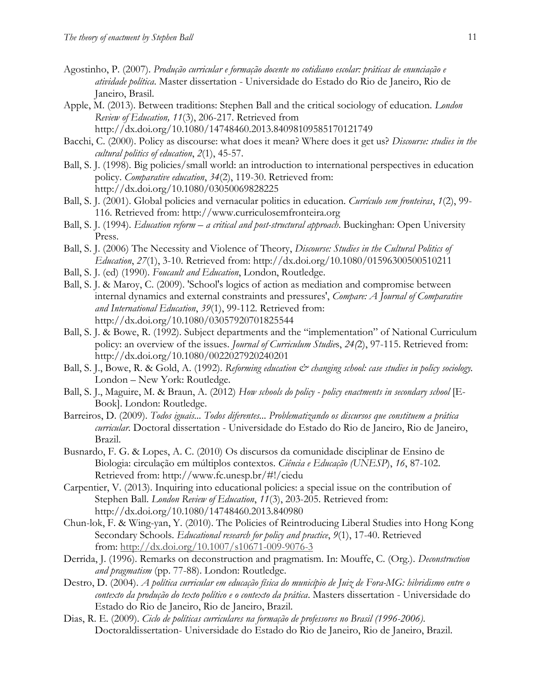- Agostinho, P. (2007). *Produção curricular e formação docente no cotidiano escolar: práticas de enunciação e atividade política*. Master dissertation - Universidade do Estado do Rio de Janeiro, Rio de Janeiro, Brasil.
- Apple, M. (2013). Between traditions: Stephen Ball and the critical sociology of education. *London Review of Education, 11*(3), 206-217. Retrieved from http://dx.doi.org/10.1080/14748460.2013.84098109585170121749
- Bacchi, C. (2000). Policy as discourse: what does it mean? Where does it get us? *Discourse: studies in the cultural politics of education*, *2*(1), 45-57.
- Ball, S. J. (1998). Big policies/small world: an introduction to international perspectives in education policy. *Comparative education*, *34*(2), 119-30. Retrieved from: http://dx.doi.org/10.1080/03050069828225
- Ball, S. J. (2001). Global policies and vernacular politics in education. *Currículo sem fronteiras*, *1*(2), 99- 116. Retrieved from: http://www.curriculosemfronteira.org
- Ball, S. J. (1994). *Education reform – a critical and post-structural approach*. Buckinghan: Open University Press.
- Ball, S. J. (2006) The Necessity and Violence of Theory, *Discourse: Studies in the Cultural Politics of Education*, *27*(1), 3-10. Retrieved from: http://dx.doi.org/10.1080/01596300500510211
- Ball, S. J. (ed) (1990). *Foucault and Education*, London, Routledge.
- Ball, S. J. & Maroy, C. (2009). 'School's logics of action as mediation and compromise between internal dynamics and external constraints and pressures', *Compare: A Journal of Comparative and International Education*, *39*(1), 99-112. Retrieved from: http://dx.doi.org/10.1080/03057920701825544
- Ball, S. J. & Bowe, R. (1992). Subject departments and the "implementation" of National Curriculum policy: an overview of the issues. *Journal of Curriculum Studie*s, *24(*2), 97-115. Retrieved from: http://dx.doi.org/10.1080/0022027920240201
- Ball, S. J., Bowe, R. & Gold, A. (1992). *Reforming education*  $\breve{c}$  *changing school: case studies in policy sociology*. London – New York: Routledge.
- Ball, S. J., Maguire, M. & Braun, A. (2012) *How schools do policy - policy enactments in secondary school* [E-Book]. London: Routledge.
- Barreiros, D. (2009). *Todos iguais... Todos diferentes... Problematizando os discursos que constituem a prática curricular.* Doctoral dissertation - Universidade do Estado do Rio de Janeiro, Rio de Janeiro, Brazil.
- Busnardo, F. G. & Lopes, A. C. (2010) Os discursos da comunidade disciplinar de Ensino de Biologia: circulação em múltiplos contextos. *Ciência e Educação (UNESP*), *16*, 87-102. Retrieved from: http://www.fc.unesp.br/#!/ciedu
- Carpentier, V. (2013). Inquiring into educational policies: a special issue on the contribution of Stephen Ball. *London Review of Education*, *11*(3), 203-205. Retrieved from: http://dx.doi.org/10.1080/14748460.2013.840980
- Chun-lok, F. & Wing-yan, Y. (2010). The Policies of Reintroducing Liberal Studies into Hong Kong Secondary Schools. *Educational research for policy and practice*, *9*(1), 17-40. Retrieved from: [http://dx.doi.org/10.1007/s10671-009-9076-3](http://dx.doi.org/10.1007%2Fs10671-009-9076-3)
- Derrida, J. (1996). Remarks on deconstruction and pragmatism. In: Mouffe, C. (Org.). *Deconstruction and pragmatism* (pp. 77-88). London: Routledge.
- Destro, D. (2004). *A política curricular em educação física do município de Juiz de Fora-MG: hibridismo entre o contexto da produção do texto político e o contexto da prática*. Masters dissertation - Universidade do Estado do Rio de Janeiro, Rio de Janeiro, Brazil.
- Dias, R. E. (2009). *Ciclo de políticas curriculares na formação de professores no Brasil (1996-2006)*. Doctoraldissertation- Universidade do Estado do Rio de Janeiro, Rio de Janeiro, Brazil.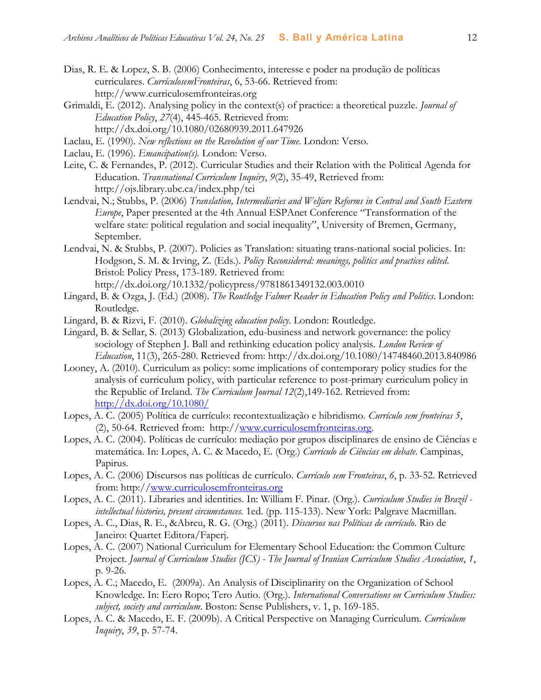- Dias, R. E. & Lopez, S. B. (2006) Conhecimento, interesse e poder na produção de políticas curriculares. *CurrículosemFronteiras*, 6, 53-66. Retrieved from: http://www.curriculosemfronteiras.org
- Grimaldi, E. (2012). Analysing policy in the context(s) of practice: a theoretical puzzle. *Journal of Education Policy*, *27*(4), 445-465. Retrieved from: http://dx.doi.org/10.1080/02680939.2011.647926
- Laclau, E. (1990). *New reflections on the Revolution of our Time*. London: Verso.
- Laclau, E. (1996). *Emancipation(s).* London: Verso.
- Leite, C. & Fernandes, P. (2012). Curricular Studies and their Relation with the Political Agenda for Education. *Transnational Curriculum Inquiry*, *9*(2), 35-49, Retrieved from: http://ojs.library.ubc.ca/index.php/tci
- Lendvai, N.; Stubbs, P. (2006) *Translation, Intermediaries and Welfare Reforms in Central and South Eastern Europe*, Paper presented at the 4th Annual ESPAnet Conference "Transformation of the welfare state: political regulation and social inequality", University of Bremen, Germany, September.
- Lendvai, N. & Stubbs, P. (2007). Policies as Translation: situating trans-national social policies. In: Hodgson, S. M. & Irving, Z. (Eds.). *Policy Reconsidered: meanings, politics and practices edited*. Bristol: Policy Press, 173-189. Retrieved from: http://dx.doi.org/10.1332/policypress/9781861349132.003.0010
- Lingard, B. & Ozga, J. (Ed.) (2008). *The Routledge Falmer Reader in Education Policy and Politics*. London: Routledge.
- Lingard, B. & Rizvi, F. (2010). *Globalizing education policy*. London: Routledge.
- Lingard, B. & Sellar, S. (2013) Globalization, edu-business and network governance: the policy sociology of Stephen J. Ball and rethinking education policy analysis. *London Review of Education*, 11(3), 265-280. Retrieved from: http://dx.doi.org/10.1080/14748460.2013.840986
- Looney, A. (2010). Curriculum as policy: some implications of contemporary policy studies for the analysis of curriculum policy, with particular reference to post-primary curriculum policy in the Republic of Ireland. *The Curriculum Journal 12*(2),149-162. Retrieved from: <http://dx.doi.org/10.1080/>
- Lopes, A. C. (2005) Política de currículo: recontextualização e hibridismo. *Currículo sem fronteiras 5*, (2), 50-64. Retrieved from: http:/[/www.curriculosemfronteiras.org.](http://www.curriculosemfronteiras.org/)
- Lopes, A. C. (2004). Políticas de currículo: mediação por grupos disciplinares de ensino de Ciências e matemática. In: Lopes, A. C. & Macedo, E. (Org.) *Currículo de Ciências em debate*. Campinas, Papirus.
- Lopes, A. C. (2006) Discursos nas políticas de currículo. *Currículo sem Fronteiras*, *6*, p. 33-52. Retrieved from: http:/[/www.curriculosemfronteiras.org](http://www.curriculosemfronteiras.org/)
- Lopes, A. C. (2011). Libraries and identities. In: William F. Pinar. (Org.). *Curriculum Studies in Brazil intellectual histories, present circumstances.* 1ed. (pp. 115-133). New York: Palgrave Macmillan.
- Lopes, A. C., Dias, R. E., &Abreu, R. G. (Org.) (2011). *Discursos nas Políticas de currículo*. Rio de Janeiro: Quartet Editora/Faperj.
- Lopes, A. C. (2007) National Curriculum for Elementary School Education: the Common Culture Project. *Journal of Curriculum Studies (JCS) - The Journal of Iranian Curriculum Studies Association*, *1*, p. 9-26.
- Lopes, A. C.; Macedo, E. (2009a). An Analysis of Disciplinarity on the Organization of School Knowledge. In: Eero Ropo; Tero Autio. (Org.). *International Conversations on Curriculum Studies: subject, society and curriculum*. Boston: Sense Publishers, v. 1, p. 169-185.
- Lopes, A. C. & Macedo, E. F. (2009b). A Critical Perspective on Managing Curriculum. *Curriculum Inquiry*, *39*, p. 57-74.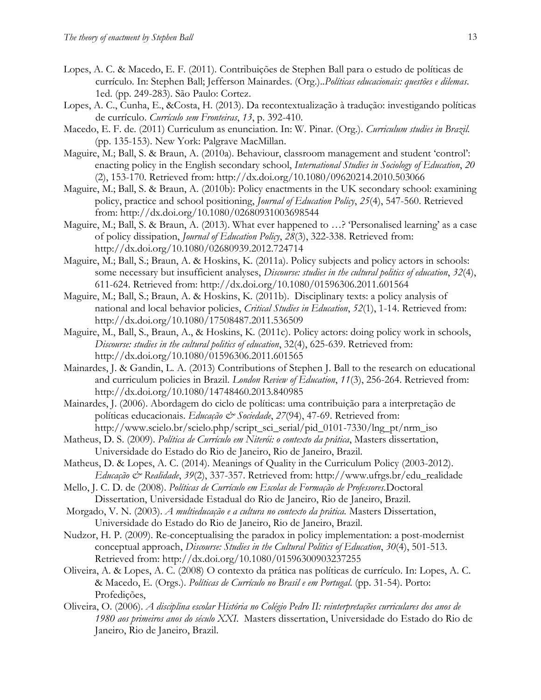- Lopes, A. C. & Macedo, E. F. (2011). Contribuições de Stephen Ball para o estudo de políticas de currículo. In: Stephen Ball; Jefferson Mainardes. (Org.)..*Políticas educacionais: questões e dilemas*. 1ed. (pp. 249-283). São Paulo: Cortez.
- Lopes, A. C., Cunha, E., &Costa, H. (2013). Da recontextualização à tradução: investigando políticas de currículo. *Currículo sem Fronteiras*, *13*, p. 392-410.
- Macedo, E. F. de. (2011) Curriculum as enunciation. In: W. Pinar. (Org.). *Curriculum studies in Brazil.* (pp. 135-153). New York: Palgrave MacMillan.
- Maguire, M.; Ball, S. & Braun, A. (2010a). Behaviour, classroom management and student 'control': enacting policy in the English secondary school, *International Studies in Sociology of Education*, *20* (2), 153-170. Retrieved from: http://dx.doi.org/10.1080/09620214.2010.503066
- Maguire, M.; Ball, S. & Braun, A. (2010b): Policy enactments in the UK secondary school: examining policy, practice and school positioning, *Journal of Education Policy*, *25*(4), 547-560. Retrieved from: http://dx.doi.org/10.1080/02680931003698544
- Maguire, M.; Ball, S. & Braun, A. (2013). What ever happened to …? 'Personalised learning' as a case of policy dissipation, *Journal of Education Policy*, *28*(3), 322-338. Retrieved from: http://dx.doi.org/10.1080/02680939.2012.724714
- Maguire, M.; Ball, S.; Braun, A. & Hoskins, K. (2011a). Policy subjects and policy actors in schools: some necessary but insufficient analyses, *Discourse: studies in the cultural politics of education*, *32*(4), 611-624. Retrieved from: http://dx.doi.org/10.1080/01596306.2011.601564
- Maguire, M.; Ball, S.; Braun, A. & Hoskins, K. (2011b). Disciplinary texts: a policy analysis of national and local behavior policies, *Critical Studies in Education*, *52*(1), 1-14. Retrieved from: http://dx.doi.org/10.1080/17508487.2011.536509
- Maguire, M., Ball, S., Braun, A., & Hoskins, K. (2011c). Policy actors: doing policy work in schools, *Discourse: studies in the cultural politics of education*, 32(4), 625-639. Retrieved from: http://dx.doi.org/10.1080/01596306.2011.601565
- Mainardes, J. & Gandin, L. A. (2013) Contributions of Stephen J. Ball to the research on educational and curriculum policies in Brazil. *London Review of Education*, *11*(3), 256-264. Retrieved from: http://dx.doi.org/10.1080/14748460.2013.840985
- Mainardes, J. (2006). Abordagem do ciclo de políticas: uma contribuição para a interpretação de políticas educacionais. *Educação & Sociedade*, 27(94), 47-69. Retrieved from: http://www.scielo.br/scielo.php/script\_sci\_serial/pid\_0101-7330/lng\_pt/nrm\_iso
- Matheus, D. S. (2009). *Política de Currículo em Niterói: o contexto da prática*, Masters dissertation, Universidade do Estado do Rio de Janeiro, Rio de Janeiro, Brazil.
- Matheus, D. & Lopes, A. C. (2014). Meanings of Quality in the Curriculum Policy (2003-2012). *Educação & Realidade*, *39*(2), 337-357. Retrieved from: http://www.ufrgs.br/edu\_realidade
- Mello, J. C. D. de (2008). *Políticas de Currículo em Escolas de Formação de Professores.*Doctoral Dissertation, Universidade Estadual do Rio de Janeiro, Rio de Janeiro, Brazil.
- Morgado, V. N. (2003). *A multieducação e a cultura no contexto da prática.* Masters Dissertation, Universidade do Estado do Rio de Janeiro, Rio de Janeiro, Brazil.
- Nudzor, H. P. (2009). Re-conceptualising the paradox in policy implementation: a post-modernist conceptual approach, *Discourse: Studies in the Cultural Politics of Education*, *30*(4), 501-513. Retrieved from: http://dx.doi.org/10.1080/01596300903237255
- Oliveira, A. & Lopes, A. C. (2008) O contexto da prática nas políticas de currículo. In: Lopes, A. C. & Macedo, E. (Orgs.). *Políticas de Currículo no Brasil e em Portugal*. (pp. 31-54). Porto: Profedições,
- Oliveira, O. (2006). *A disciplina escolar História no Colégio Pedro II: reinterpretações curriculares dos anos de 1980 aos primeiros anos do século XXI*. Masters dissertation, Universidade do Estado do Rio de Janeiro, Rio de Janeiro, Brazil.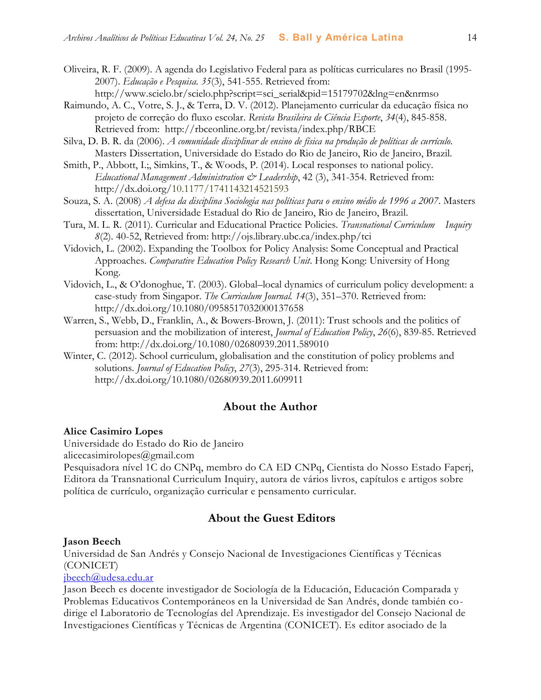- Oliveira, R. F. (2009). A agenda do Legislativo Federal para as políticas curriculares no Brasil (1995- 2007). *Educação e Pesquisa. 35*(3), 541-555. Retrieved from:
	- http://www.scielo.br/scielo.php?script=sci\_serial&pid=15179702&lng=en&nrmso
- Raimundo, A. C., Votre, S. J., & Terra, D. V. (2012). Planejamento curricular da educação física no projeto de correção do fluxo escolar. *Revista Brasileira de Ciência Esporte*, *34*(4), 845-858. Retrieved from: http://rbceonline.org.br/revista/index.php/RBCE
- Silva, D. B. R. da (2006). *A comunidade disciplinar de ensino de física na produção de políticas de currículo*. Masters Dissertation, Universidade do Estado do Rio de Janeiro, Rio de Janeiro, Brazil.
- Smith, P., Abbott, I.;, Simkins, T., & Woods, P. (2014). Local responses to national policy. *Educational Management Administration & Leadership*, 42 (3), 341-354. Retrieved from: http://dx.doi.org/10.1177/1741143214521593
- Souza, S. A. (2008) *A defesa da disciplina Sociologia nas políticas para o ensino médio de 1996 a 2007*. Masters dissertation, Universidade Estadual do Rio de Janeiro, Rio de Janeiro, Brazil.
- Tura, M. L. R. (2011). Curricular and Educational Practice Policies. *Transnational Curriculum Inquiry 8*(2). 40-52, Retrieved from: http://ojs.library.ubc.ca/index.php/tci
- Vidovich, L. (2002). Expanding the Toolbox for Policy Analysis: Some Conceptual and Practical Approaches. *Comparative Education Policy Research Unit*. Hong Kong: University of Hong Kong.
- Vidovich, L., & O'donoghue, T. (2003). Global–local dynamics of curriculum policy development: a case-study from Singapor. *The Curriculum Journal. 14*(3), 351–370. Retrieved from: http://dx.doi.org/10.1080/0958517032000137658
- Warren, S., Webb, D., Franklin, A., & Bowers-Brown, J. (2011): Trust schools and the politics of persuasion and the mobilization of interest, *Journal of Education Policy*, *26*(6), 839-85. Retrieved from: http://dx.doi.org/10.1080/02680939.2011.589010
- Winter, C. (2012). School curriculum, globalisation and the constitution of policy problems and solutions. *Journal of Education Policy*, *27*(3), 295-314. Retrieved from: http://dx.doi.org/10.1080/02680939.2011.609911

## **About the Author**

#### **Alice Casimiro Lopes**

Universidade do Estado do Rio de Janeiro

alicecasimirolopes@gmail.com

Pesquisadora nível 1C do CNPq, membro do CA ED CNPq, Cientista do Nosso Estado Faperj, Editora da Transnational Curriculum Inquiry, autora de vários livros, capítulos e artigos sobre política de currículo, organização curricular e pensamento curricular.

## **About the Guest Editors**

#### **Jason Beech**

Universidad de San Andrés y Consejo Nacional de Investigaciones Científicas y Técnicas (CONICET)

## [jbeech@udesa.edu.ar](mailto:jbeech@udesa.edu.ar)

Jason Beech es docente investigador de Sociología de la Educación, Educación Comparada y Problemas Educativos Contemporáneos en la Universidad de San Andrés, donde también codirige el Laboratorio de Tecnologías del Aprendizaje. Es investigador del Consejo Nacional de Investigaciones Científicas y Técnicas de Argentina (CONICET). Es editor asociado de la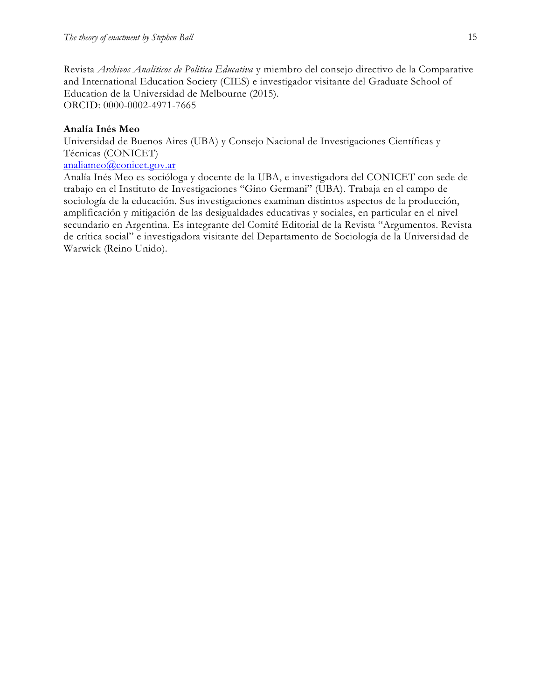Revista *Archivos Analíticos de Política Educativa* y miembro del consejo directivo de la Comparative and International Education Society (CIES) e investigador visitante del Graduate School of Education de la Universidad de Melbourne (2015). ORCID: 0000-0002-4971-7665

## **Analía Inés Meo**

Universidad de Buenos Aires (UBA) y Consejo Nacional de Investigaciones Científicas y Técnicas (CONICET)

## [analiameo@conicet.gov.ar](mailto:analiameo@conicet.gov.ar)

Analía Inés Meo es socióloga y docente de la UBA, e investigadora del CONICET con sede de trabajo en el Instituto de Investigaciones "Gino Germani" (UBA). Trabaja en el campo de sociología de la educación. Sus investigaciones examinan distintos aspectos de la producción, amplificación y mitigación de las desigualdades educativas y sociales, en particular en el nivel secundario en Argentina. Es integrante del Comité Editorial de la Revista "Argumentos. Revista de crítica social" e investigadora visitante del Departamento de Sociología de la Universidad de Warwick (Reino Unido).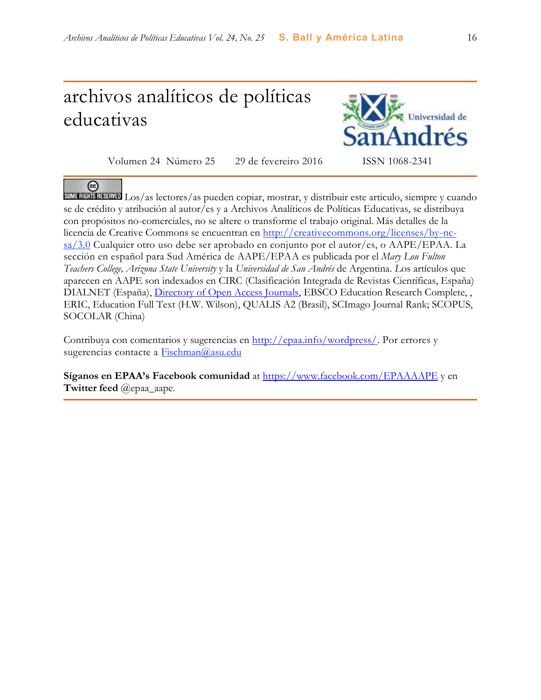# archivos analíticos de políticas educativas



Volumen 24 Número 25 29 de fevereiro 2016 ISSN 1068-2341

 $_{\rm (cc)}$ Los/as lectores/as pueden copiar, mostrar, y distribuir este articulo, siempre y cuando se de crédito y atribución al autor/es y a Archivos Analíticos de Políticas Educativas, se distribuya con propósitos no-comerciales, no se altere o transforme el trabajo original. Más detalles de la licencia de Creative Commons se encuentran en http://creativecommons.org/licenses/by-ncsa/3.0 Cualquier otro uso debe ser aprobado en conjunto por el autor/es, o AAPE/EPAA. La sección en español para Sud América de AAPE/EPAA es publicada por el *Mary Lou Fulton Teachers College, Arizona State University* y la *Universidad de San Andrés* de Argentina. *L*os artículos que aparecen en AAPE son indexados en CIRC (Clasificación Integrada de Revistas Científicas, España) DIALNET (España), [Directory of Open Access Journals,](http://www.doaj.org/) EBSCO Education Research Complete, , ERIC, Education Full Text (H.W. Wilson), QUALIS A2 (Brasil), SCImago Journal Rank; SCOPUS, SOCOLAR (China)

Contribuya con comentarios y sugerencias en [http://epaa.info/wordpress/.](http://epaa.info/wordpress/) Por errores y sugerencias contacte a Fischman@asu.edu

**Síganos en EPAA's Facebook comunidad** at<https://www.facebook.com/EPAAAAPE> y en **Twitter feed** @epaa\_aape.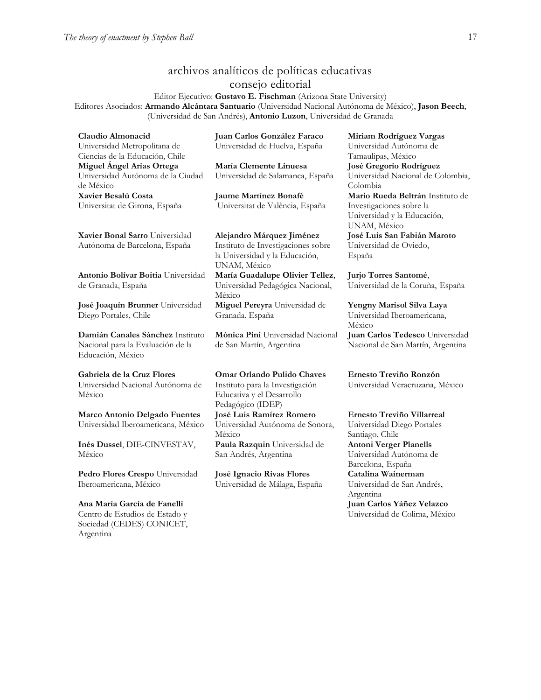## archivos analíticos de políticas educativas consejo editorial

Editor Ejecutivo: **Gustavo E. Fischman** (Arizona State University) Editores Asociados: **Armando Alcántara Santuario** (Universidad Nacional Autónoma de México), **Jason Beech**, (Universidad de San Andrés), **Antonio Luzon**, Universidad de Granada

**Claudio Almonacid** Universidad Metropolitana de Ciencias de la Educación, Chile **Miguel Ángel Arias Ortega**  Universidad Autónoma de la Ciudad de México **Xavier Besalú Costa**  Universitat de Girona, España

**[Xavier Bonal](javascript:openRTWindow() Sarro** Universidad Autónoma de Barcelona, España

**[Antonio Bolívar](javascript:openRTWindow() Boitia** Universidad de Granada, España

**[José Joaquín Brunner](javascript:openRTWindow()** Universidad Diego Portales, Chile

**[Damián Canales Sánchez](javascript:openRTWindow()** Instituto Nacional para la Evaluación de la Educación, México

## **Gabriela de la Cruz Flores**

Universidad Nacional Autónoma de México

**[Marco Antonio Delgado Fuentes](javascript:openRTWindow()** Universidad Iberoamericana, México

**[Inés Dussel](javascript:openRTWindow()**, DIE-CINVESTAV, México

**[Pedro Flores Crespo](javascript:openRTWindow()** Universidad Iberoamericana, México

#### **Ana María García de Fanelli**  Centro de Estudios de Estado y Sociedad (CEDES) CONICET, Argentina

**Juan Carlos González Faraco**  Universidad de Huelva, España

**María Clemente Linuesa**  Universidad de Salamanca, España

**Jaume Martínez Bonafé** Universitat de València, España

#### **Alejandro Márquez Jiménez**

Instituto de Investigaciones sobre la Universidad y la Educación, UNAM, México **María Guadalupe Olivier Tellez**, Universidad Pedagógica Nacional, México **[Miguel Pereyra](javascript:openRTWindow()** Universidad de Granada, España

**[Mónica Pini](javascript:openRTWindow()** Universidad Nacional de San Martín, Argentina

**Omar Orlando Pulido Chaves** Instituto para la Investigación Educativa y el Desarrollo Pedagógico (IDEP) **[José Luis Ramírez](javascript:openRTWindow() Romero** Universidad Autónoma de Sonora, México **[Paula Razquin](javascript:openRTWindow()** Universidad de San Andrés, Argentina

**José Ignacio Rivas Flores** Universidad de Málaga, España **[Miriam Rodríguez Vargas](javascript:openRTWindow()** Universidad Autónoma de Tamaulipas, México **José Gregorio Rodríguez**  Universidad Nacional de Colombia, Colombia

**[Mario Rueda Beltrán](javascript:openRTWindow()** Instituto de Investigaciones sobre la Universidad y la Educación, UNAM, México **José Luis San Fabián Maroto**  Universidad de Oviedo, España

**[Jurjo Torres Santomé](javascript:openRTWindow()**, Universidad de la Coruña, España

**[Yengny Marisol Silva Laya](javascript:openRTWindow()** Universidad Iberoamericana, México **Juan Carlos Tedesco** Universidad Nacional de San Martín, Argentina

**Ernesto Treviño Ronzón** Universidad Veracruzana, México

**[Ernesto Treviño](javascript:openRTWindow() Villarreal** Universidad Diego Portales Santiago, Chile **Antoni [Verger Planells](javascript:openRTWindow()** Universidad Autónoma de Barcelona, España **[Catalina Wainerman](javascript:openRTWindow()** Universidad de San Andrés, Argentina **Juan Carlos Yáñez Velazco** Universidad de Colima, México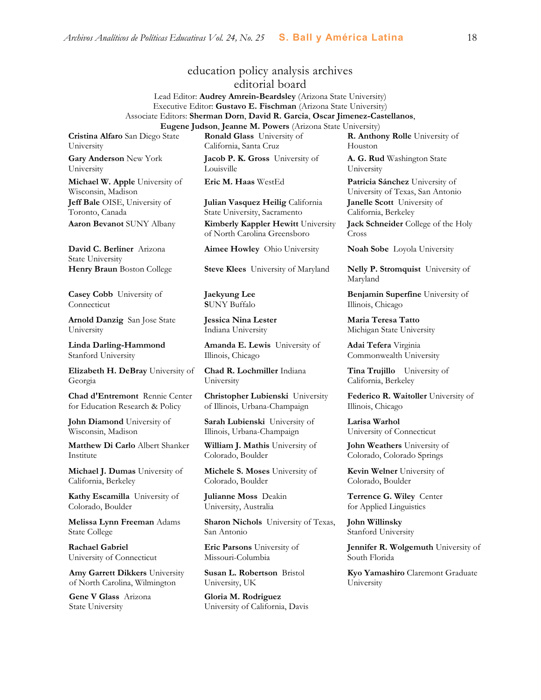# education policy analysis archives

editorial board

Lead Editor: **Audrey Amrein-Beardsley** (Arizona State University) Executive Editor: **Gustavo E. Fischman** (Arizona State University) Associate Editors: **Sherman Dorn**, **David R. Garcia**, **Oscar Jimenez-Castellanos**, **Eugene Judson**, **Jeanne M. Powers** (Arizona State University)

**Cristina Alfaro** San Diego State University

**Gary Anderson** New York University **Michael W. Apple** University of

Wisconsin, Madison **Jeff Bale** OISE, University of Toronto, Canada

**David C. Berliner** Arizona State University

**Casey Cobb** University of Connecticut

**Arnold Danzig** San Jose State University

**Linda Darling-Hammond**  Stanford University

**Elizabeth H. DeBray** University of Georgia

**Chad d'Entremont** Rennie Center for Education Research & Policy

**John Diamond** University of Wisconsin, Madison

**Matthew Di Carlo** Albert Shanker Institute

**Michael J. Dumas** University of California, Berkeley

**Kathy Escamilla** University of Colorado, Boulder

**Melissa Lynn Freeman** Adams State College

**Rachael Gabriel** University of Connecticut

**Amy Garrett Dikkers** University of North Carolina, Wilmington

**Gene V Glass** Arizona State University

**Ronald Glass** University of California, Santa Cruz

**Jacob P. K. Gross** University of Louisville

**Julian Vasquez Heilig** California State University, Sacramento **Aaron Bevanot** SUNY Albany **Kimberly Kappler Hewitt** University of North Carolina Greensboro

**Aimee Howley** Ohio University **Noah Sobe** Loyola University

**Henry Braun** Boston College **Steve Klees** University of Maryland **Nelly P. Stromquist** University of

**Jaekyung Lee S**UNY Buffalo

**Jessica Nina Lester** Indiana University

**Amanda E. Lewis** University of Illinois, Chicago

**Chad R. Lochmiller** Indiana University

**Christopher Lubienski** University of Illinois, Urbana-Champaign

**Sarah Lubienski** University of Illinois, Urbana-Champaign

**William J. Mathis** University of Colorado, Boulder

**Michele S. Moses** University of Colorado, Boulder

**Julianne Moss** Deakin University, Australia

**Sharon Nichols** University of Texas, San Antonio

**Eric Parsons** University of Missouri-Columbia

**Susan L. Robertson** Bristol University, UK

**Gloria M. Rodriguez** University of California, Davis

**R. Anthony Rolle** University of Houston

**A. G. Rud** Washington State University

**Eric M. Haas** WestEd **Patricia Sánchez** University of University of Texas, San Antonio **Janelle Scott** University of California, Berkeley **Jack Schneider** College of the Holy

Cross

Maryland

**Benjamin Superfine** University of Illinois, Chicago

**Maria Teresa Tatto**  Michigan State University

**Adai Tefera** Virginia Commonwealth University

**Tina Trujillo** University of California, Berkeley

**Federico R. Waitoller** University of Illinois, Chicago

**Larisa Warhol** University of Connecticut

**John Weathers** University of Colorado, Colorado Springs

**Kevin Welner** University of Colorado, Boulder

**Terrence G. Wiley** Center for Applied Linguistics

**John Willinsky**  Stanford University

**Jennifer R. Wolgemuth** University of South Florida

**Kyo Yamashiro** Claremont Graduate University